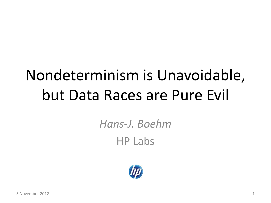# Nondeterminism is Unavoidable, but Data Races are Pure Evil

*Hans-J. Boehm* HP Labs

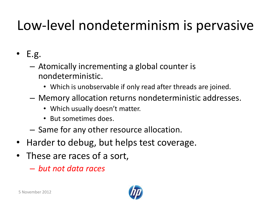### Low-level nondeterminism is pervasive

- $\bullet$  E.g.
	- Atomically incrementing a global counter is nondeterministic.
		- Which is unobservable if only read after threads are joined.
	- Memory allocation returns nondeterministic addresses.
		- Which usually doesn't matter.
		- But sometimes does.
	- Same for any other resource allocation.
- Harder to debug, but helps test coverage.
- These are races of a sort,
	- *but not data races*

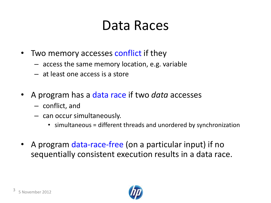### Data Races

- Two memory accesses conflict if they
	- access the same memory location, e.g. variable
	- at least one access is a store
- A program has a data race if two *data* accesses
	- conflict, and
	- can occur simultaneously.
		- simultaneous = different threads and unordered by synchronization
- A program data-race-free (on a particular input) if no sequentially consistent execution results in a data race.

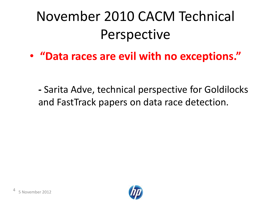### November 2010 CACM Technical Perspective

• **"Data races are evil with no exceptions."**

**-** Sarita Adve, technical perspective for Goldilocks and FastTrack papers on data race detection.

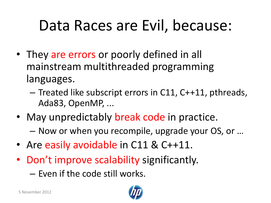### Data Races are Evil, because:

- They are errors or poorly defined in all mainstream multithreaded programming languages.
	- Treated like subscript errors in C11, C++11, pthreads, Ada83, OpenMP, ...
- May unpredictably break code in practice.
	- Now or when you recompile, upgrade your OS, or …
- Are easily avoidable in C11 & C++11.
- Don't improve scalability significantly.
	- Even if the code still works.

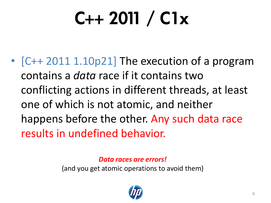# $C++ 2011 / C1x$

• [C++ 2011 1.10p21] The execution of a program contains a *data* race if it contains two conflicting actions in different threads, at least one of which is not atomic, and neither happens before the other. Any such data race results in undefined behavior.

*Data races are errors!*

(and you get atomic operations to avoid them)

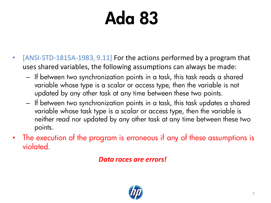# Ada 83

- [ANSI-STD-1815A-1983, 9.11] For the actions performed by a program that uses shared variables, the following assumptions can always be made:
	- If between two synchronization points in a task, this task reads a shared variable whose type is a scalar or access type, then the variable is not updated by any other task at any time between these two points.
	- If between two synchronization points in a task, this task updates a shared variable whose task type is a scalar or access type, then the variable is neither read nor updated by any other task at any time between these two points.
- The execution of the program is erroneous if any of these assumptions is violated.

*Data races are errors!*

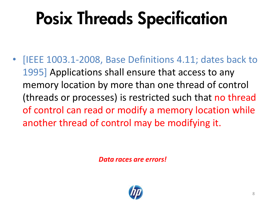# Posix Threads Specification

• [IEEE 1003.1-2008, Base Definitions 4.11; dates back to 1995] Applications shall ensure that access to any memory location by more than one thread of control (threads or processes) is restricted such that no thread of control can read or modify a memory location while another thread of control may be modifying it.

*Data races are errors!*

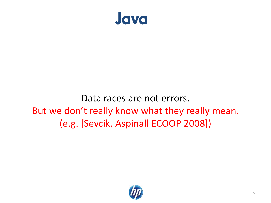

#### Data races are not errors. But we don't really know what they really mean. (e.g. [Sevcik, Aspinall ECOOP 2008])

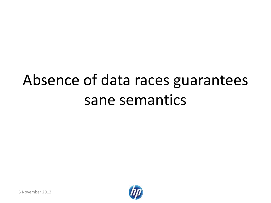# Absence of data races guarantees sane semantics



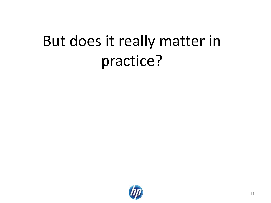## But does it really matter in practice?

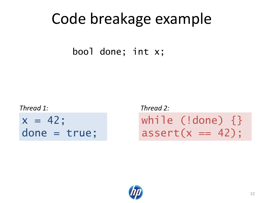### Code breakage example

bool done; int x;

*Thread 1: Thread 2:*

 $x = 42;$ done = true; while (!done) {}  $assert(x == 42)$ ;

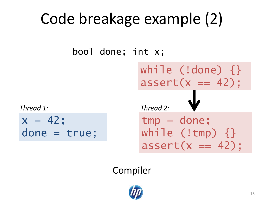# Code breakage example (2)

bool done; int x;

 $x = 42;$ done = true;

tmp = done; while  $(l$ tmp)  $\{\}$  $assert(x == 42);$ *Thread 1: Thread 2:* while (!done) {}  $assert(x == 42)$ ;

Compiler

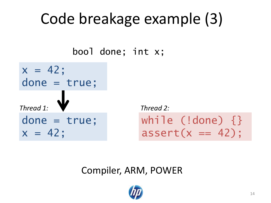# Code breakage example (3)

bool done; int x;

done = true;  $x = 42$ ; *Thread 1: Thread 2:*  $x = 42$ ; done = true;

while (!done) {}  $assert(x == 42)$ ;

#### Compiler, ARM, POWER

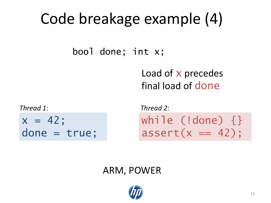# Code breakage example (4)

bool done; int x;

Load of x precedes final load of done

*Thread 1: Thread 2:*

 $x = 42;$ done = true; while (!done) {}  $assert(x == 42)$ ;

#### ARM, POWER

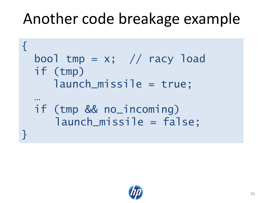### Another code breakage example

```
{
  bool tmp = x; // racy load
  if (tmp)
      launch_missile = true;
  …
  if (tmp && no_incoming)
     launch_missile = false;
}<br>}
```
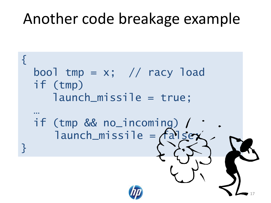### Another code breakage example

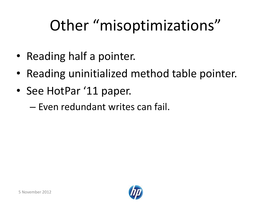# Other "misoptimizations"

- Reading half a pointer.
- Reading uninitialized method table pointer.
- See HotPar '11 paper.
	- Even redundant writes can fail.

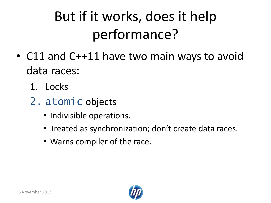### But if it works, does it help performance?

- C11 and C++11 have two main ways to avoid data races:
	- 1. Locks
	- 2. atomic objects
		- Indivisible operations.
		- Treated as synchronization; don't create data races.
		- Warns compiler of the race.

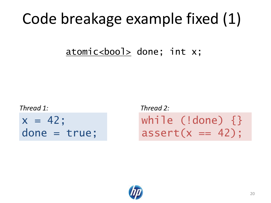### Code breakage example fixed (1)

atomic<bool> done; int x;

*Thread 1: Thread 2:*

 $x = 42;$ done = true; while (!done) {}  $assert(x == 42)$ ;

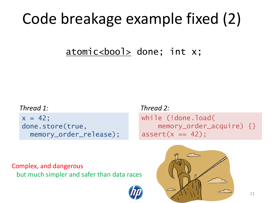### Code breakage example fixed (2)

atomic<bool> done; int x;

#### *Thread 1: Thread 2:*

 $x = 42$ ; done.store(true, memory\_order\_release);

while (!done.load( memory\_order\_acquire) {}  $assert(x == 42);$ 

Complex, and dangerous but much simpler and safer than data races

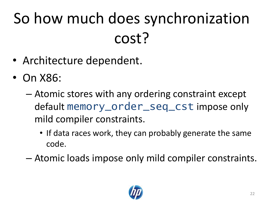# So how much does synchronization cost?

- Architecture dependent.
- On X86:
	- Atomic stores with any ordering constraint except default memory\_order\_seq\_cst impose only mild compiler constraints.
		- If data races work, they can probably generate the same code.
	- Atomic loads impose only mild compiler constraints.

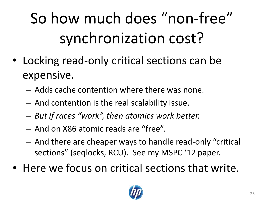# So how much does "non-free" synchronization cost?

- Locking read-only critical sections can be expensive.
	- Adds cache contention where there was none.
	- And contention is the real scalability issue.
	- *But if races "work", then atomics work better.*
	- And on X86 atomic reads are "free".
	- And there are cheaper ways to handle read-only "critical sections" (seqlocks, RCU). See my MSPC '12 paper.
- Here we focus on critical sections that write.

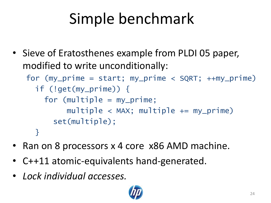# Simple benchmark

• Sieve of Eratosthenes example from PLDI 05 paper, modified to write unconditionally:

for  $(my\_prime = start; my\_prime < SQRT; ++my\_prime)$ 

```
 if (!get(my_prime)) {
  for (multiple = my_prime;multiple < MAX; multiple += my_prime)
     set(multiple);
 }
```
- Ran on 8 processors x 4 core x86 AMD machine.
- C++11 atomic-equivalents hand-generated.
- *Lock individual accesses.*

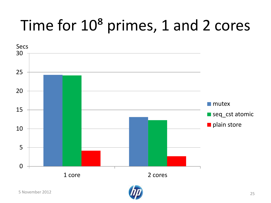# Time for  $10<sup>8</sup>$  primes, 1 and 2 cores



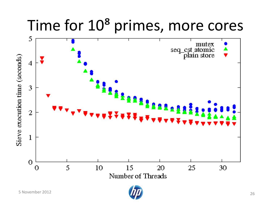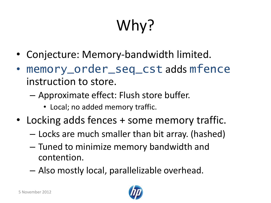# Why?

- Conjecture: Memory-bandwidth limited.
- memory\_order\_seq\_cst adds mfence instruction to store.
	- Approximate effect: Flush store buffer.
		- Local; no added memory traffic.
- Locking adds fences + some memory traffic.
	- Locks are much smaller than bit array. (hashed)
	- Tuned to minimize memory bandwidth and contention.
	- Also mostly local, parallelizable overhead.

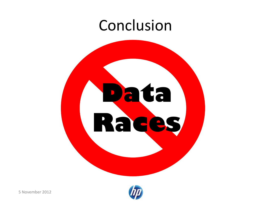